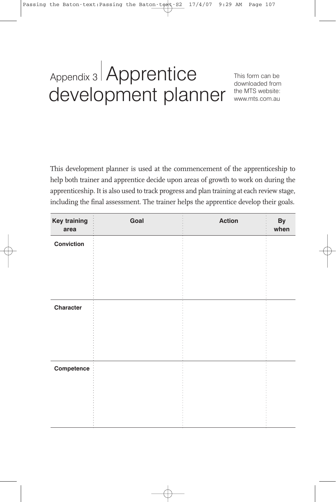## Appendix 3 Apprentice development planner

This form can be downloaded from the MTS website: www.mts.com.au

This development planner is used at the commencement of the apprenticeship to help both trainer and apprentice decide upon areas of growth to work on during the apprenticeship.It is also used to track progress and plan training at each review stage, including the final assessment. The trainer helps the apprentice develop their goals.

| <b>Key training</b><br>area | Goal | <b>Action</b> | By<br>when |
|-----------------------------|------|---------------|------------|
| Conviction                  |      |               |            |
|                             |      |               |            |
|                             |      |               |            |
| Character                   |      |               |            |
|                             |      |               |            |
|                             |      |               |            |
| Competence                  |      |               |            |
|                             |      |               |            |
|                             |      |               |            |
|                             |      |               |            |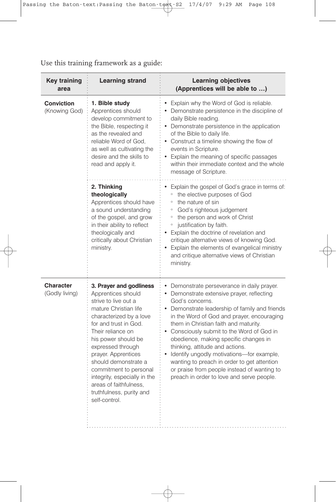| <b>Key training</b><br>area        | <b>Learning strand</b>                                                                                                                                                                                                                                                                                                                                                                              | <b>Learning objectives</b><br>(Apprentices will be able to )                                                                                                                                                                                                                                                                                                                                                                                                                                                                                                              |
|------------------------------------|-----------------------------------------------------------------------------------------------------------------------------------------------------------------------------------------------------------------------------------------------------------------------------------------------------------------------------------------------------------------------------------------------------|---------------------------------------------------------------------------------------------------------------------------------------------------------------------------------------------------------------------------------------------------------------------------------------------------------------------------------------------------------------------------------------------------------------------------------------------------------------------------------------------------------------------------------------------------------------------------|
| <b>Conviction</b><br>(Knowing God) | 1. Bible study<br>Apprentices should<br>develop commitment to<br>the Bible, respecting it<br>as the revealed and<br>reliable Word of God.<br>as well as cultivating the<br>desire and the skills to<br>read and apply it.                                                                                                                                                                           | • Explain why the Word of God is reliable.<br>• Demonstrate persistence in the discipline of<br>daily Bible reading.<br>• Demonstrate persistence in the application<br>of the Bible to daily life.<br>• Construct a timeline showing the flow of<br>events in Scripture.<br>• Explain the meaning of specific passages<br>within their immediate context and the whole<br>message of Scripture.                                                                                                                                                                          |
|                                    | 2. Thinking<br>theologically<br>Apprentices should have<br>a sound understanding<br>of the gospel, and grow<br>in their ability to reflect<br>theologically and<br>critically about Christian<br>ministry.                                                                                                                                                                                          | • Explain the gospel of God's grace in terms of:<br>the elective purposes of God<br>the nature of sin<br>$\circ$<br><sup>o</sup> God's righteous judgement<br>the person and work of Christ<br>$\circ$<br>justification by faith.<br>$\circ$<br>• Explain the doctrine of revelation and<br>critique alternative views of knowing God.<br>• Explain the elements of evangelical ministry<br>and critique alternative views of Christian<br>ministry.                                                                                                                      |
| <b>Character</b><br>(Godly living) | 3. Prayer and godliness<br>Apprentices should<br>strive to live out a<br>mature Christian life<br>characterized by a love<br>for and trust in God.<br>Their reliance on<br>his power should be<br>expressed through<br>prayer. Apprentices<br>should demonstrate a<br>commitment to personal<br>integrity, especially in the<br>areas of faithfulness,<br>truthfulness, purity and<br>self-control. | • Demonstrate perseverance in daily prayer.<br>• Demonstrate extensive prayer, reflecting<br>God's concerns.<br>• Demonstrate leadership of family and friends<br>in the Word of God and prayer, encouraging<br>them in Christian faith and maturity.<br>• Consciously submit to the Word of God in<br>obedience, making specific changes in<br>thinking, attitude and actions.<br>• Identify ungodly motivations-for example,<br>wanting to preach in order to get attention<br>or praise from people instead of wanting to<br>preach in order to love and serve people. |

Use this training framework as a guide: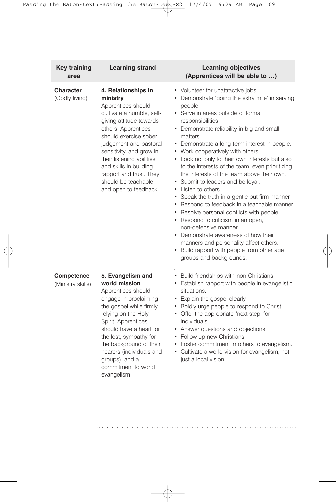| <b>Key training</b><br>area        | <b>Learning strand</b>                                                                                                                                                                                                                                                                                                                                | <b>Learning objectives</b><br>(Apprentices will be able to )                                                                                                                                                                                                                                                                                                                                                                                                                                                                                                                                                                                                                                                                                                                                                                                                                                         |
|------------------------------------|-------------------------------------------------------------------------------------------------------------------------------------------------------------------------------------------------------------------------------------------------------------------------------------------------------------------------------------------------------|------------------------------------------------------------------------------------------------------------------------------------------------------------------------------------------------------------------------------------------------------------------------------------------------------------------------------------------------------------------------------------------------------------------------------------------------------------------------------------------------------------------------------------------------------------------------------------------------------------------------------------------------------------------------------------------------------------------------------------------------------------------------------------------------------------------------------------------------------------------------------------------------------|
| <b>Character</b><br>(Godly living) | 4. Relationships in<br>ministry<br>Apprentices should<br>cultivate a humble, self-<br>giving attitude towards<br>others. Apprentices<br>should exercise sober<br>judgement and pastoral<br>sensitivity, and grow in<br>their listening abilities<br>and skills in building<br>rapport and trust. They<br>should be teachable<br>and open to feedback. | • Volunteer for unattractive jobs.<br>• Demonstrate 'going the extra mile' in serving<br>people.<br>• Serve in areas outside of formal<br>responsibilities.<br>• Demonstrate reliability in big and small<br>matters.<br>• Demonstrate a long-term interest in people.<br>• Work cooperatively with others.<br>• Look not only to their own interests but also<br>to the interests of the team, even prioritizing<br>the interests of the team above their own.<br>• Submit to leaders and be loyal.<br>• Listen to others.<br>• Speak the truth in a gentle but firm manner.<br>• Respond to feedback in a teachable manner.<br>• Resolve personal conflicts with people.<br>• Respond to criticism in an open,<br>non-defensive manner.<br>• Demonstrate awareness of how their<br>manners and personality affect others.<br>• Build rapport with people from other age<br>groups and backgrounds. |
| Competence<br>(Ministry skills)    | 5. Evangelism and<br>world mission<br>Apprentices should<br>engage in proclaiming<br>the gospel while firmly<br>relying on the Holy<br>Spirit. Apprentices<br>should have a heart for<br>the lost, sympathy for<br>the background of their<br>hearers (individuals and<br>groups), and a<br>commitment to world<br>evangelism.                        | • Build friendships with non-Christians.<br>• Establish rapport with people in evangelistic<br>situations.<br>• Explain the gospel clearly.<br>• Boldly urge people to respond to Christ.<br>• Offer the appropriate 'next step' for<br>individuals.<br>• Answer questions and objections.<br>• Follow up new Christians.<br>• Foster commitment in others to evangelism.<br>• Cultivate a world vision for evangelism, not<br>just a local vision.                                                                                                                                                                                                                                                                                                                                                                                                                                                  |